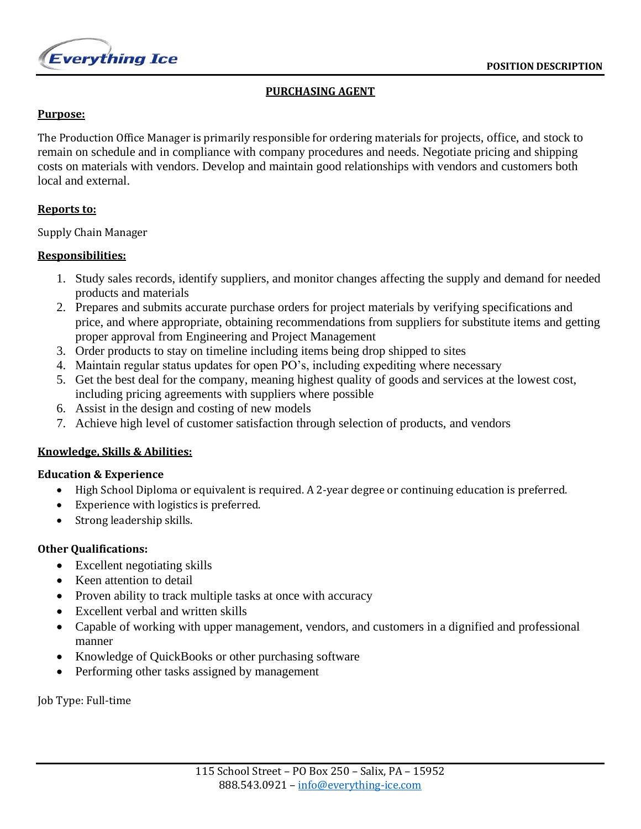

# **PURCHASING AGENT**

### **Purpose:**

The Production Office Manager is primarily responsible for ordering materials for projects, office, and stock to remain on schedule and in compliance with company procedures and needs. Negotiate pricing and shipping costs on materials with vendors. Develop and maintain good relationships with vendors and customers both local and external.

### **Reports to:**

Supply Chain Manager

## **Responsibilities:**

- 1. Study sales records, identify suppliers, and monitor changes affecting the supply and demand for needed products and materials
- 2. Prepares and submits accurate purchase orders for project materials by verifying specifications and price, and where appropriate, obtaining recommendations from suppliers for substitute items and getting proper approval from Engineering and Project Management
- 3. Order products to stay on timeline including items being drop shipped to sites
- 4. Maintain regular status updates for open PO's, including expediting where necessary
- 5. Get the best deal for the company, meaning highest quality of goods and services at the lowest cost, including pricing agreements with suppliers where possible
- 6. Assist in the design and costing of new models
- 7. Achieve high level of customer satisfaction through selection of products, and vendors

# **Knowledge, Skills & Abilities:**

### **Education & Experience**

- High School Diploma or equivalent is required. A 2-year degree or continuing education is preferred.
- Experience with logistics is preferred.
- Strong leadership skills.

# **Other Qualifications:**

- Excellent negotiating skills
- Keen attention to detail
- Proven ability to track multiple tasks at once with accuracy
- Excellent verbal and written skills
- Capable of working with upper management, vendors, and customers in a dignified and professional manner
- Knowledge of QuickBooks or other purchasing software
- Performing other tasks assigned by management

Job Type: Full-time